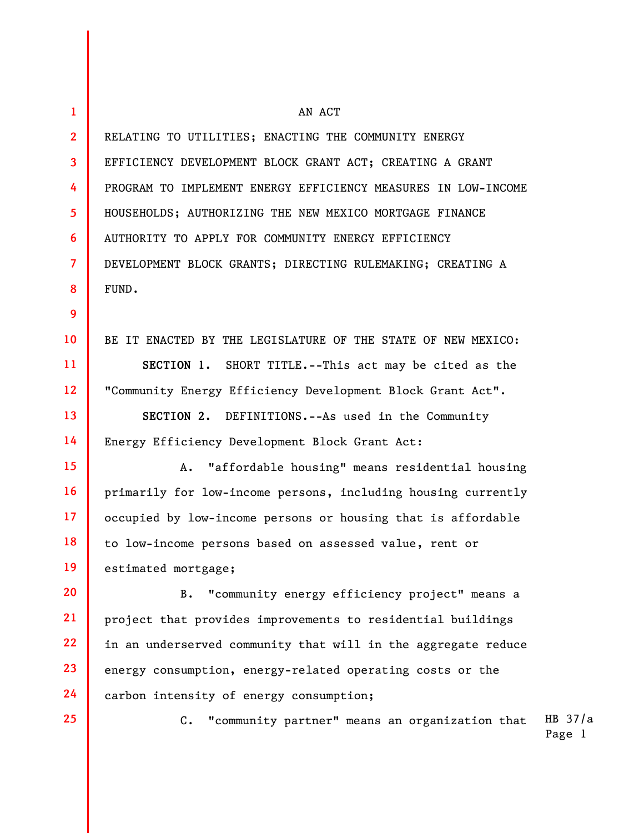| $\mathbf{1}$    | AN ACT                                                           |                     |
|-----------------|------------------------------------------------------------------|---------------------|
| $\mathbf{2}$    | RELATING TO UTILITIES; ENACTING THE COMMUNITY ENERGY             |                     |
| $\mathbf{3}$    | EFFICIENCY DEVELOPMENT BLOCK GRANT ACT; CREATING A GRANT         |                     |
| 4               | PROGRAM TO IMPLEMENT ENERGY EFFICIENCY MEASURES IN LOW-INCOME    |                     |
| 5               | HOUSEHOLDS; AUTHORIZING THE NEW MEXICO MORTGAGE FINANCE          |                     |
| 6               | AUTHORITY TO APPLY FOR COMMUNITY ENERGY EFFICIENCY               |                     |
| $\overline{7}$  | DEVELOPMENT BLOCK GRANTS; DIRECTING RULEMAKING; CREATING A       |                     |
| 8               | FUND.                                                            |                     |
| 9               |                                                                  |                     |
| 10 <sup>°</sup> | BE IT ENACTED BY THE LEGISLATURE OF THE STATE OF NEW MEXICO:     |                     |
| 11              | SECTION 1. SHORT TITLE.--This act may be cited as the            |                     |
| 12              | "Community Energy Efficiency Development Block Grant Act".       |                     |
| 13              | SECTION 2. DEFINITIONS.--As used in the Community                |                     |
| 14              | Energy Efficiency Development Block Grant Act:                   |                     |
| 15 <sub>2</sub> | "affordable housing" means residential housing<br>Α.             |                     |
| <b>16</b>       | primarily for low-income persons, including housing currently    |                     |
| 17 <sub>2</sub> | occupied by low-income persons or housing that is affordable     |                     |
| 18              | to low-income persons based on assessed value, rent or           |                     |
| 19              | estimated mortgage;                                              |                     |
| 20              | "community energy efficiency project" means a<br>В.              |                     |
| 21              | project that provides improvements to residential buildings      |                     |
| 22              | in an underserved community that will in the aggregate reduce    |                     |
| 23              | energy consumption, energy-related operating costs or the        |                     |
| 24              | carbon intensity of energy consumption;                          |                     |
| 25              | "community partner" means an organization that<br>$\mathsf{C}$ . | HB $37/a$<br>Page 1 |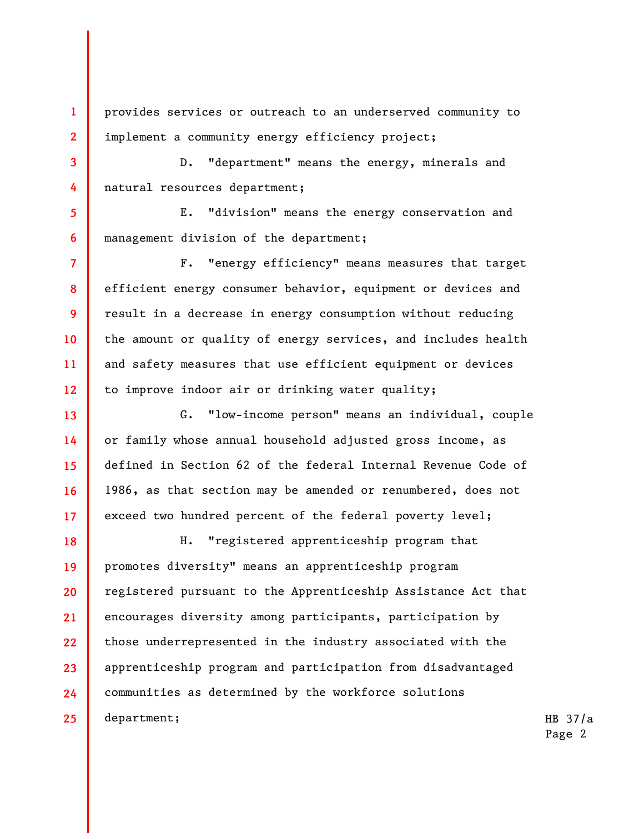provides services or outreach to an underserved community to implement a community energy efficiency project;

1

2

3

4

5

6

7

8

9

10

11

12

13

14

15

16

17

D. "department" means the energy, minerals and natural resources department;

E. "division" means the energy conservation and management division of the department;

F. "energy efficiency" means measures that target efficient energy consumer behavior, equipment or devices and result in a decrease in energy consumption without reducing the amount or quality of energy services, and includes health and safety measures that use efficient equipment or devices to improve indoor air or drinking water quality;

G. "low-income person" means an individual, couple or family whose annual household adjusted gross income, as defined in Section 62 of the federal Internal Revenue Code of 1986, as that section may be amended or renumbered, does not exceed two hundred percent of the federal poverty level;

18 19 20 21 22 23 24 25 H. "registered apprenticeship program that promotes diversity" means an apprenticeship program registered pursuant to the Apprenticeship Assistance Act that encourages diversity among participants, participation by those underrepresented in the industry associated with the apprenticeship program and participation from disadvantaged communities as determined by the workforce solutions department;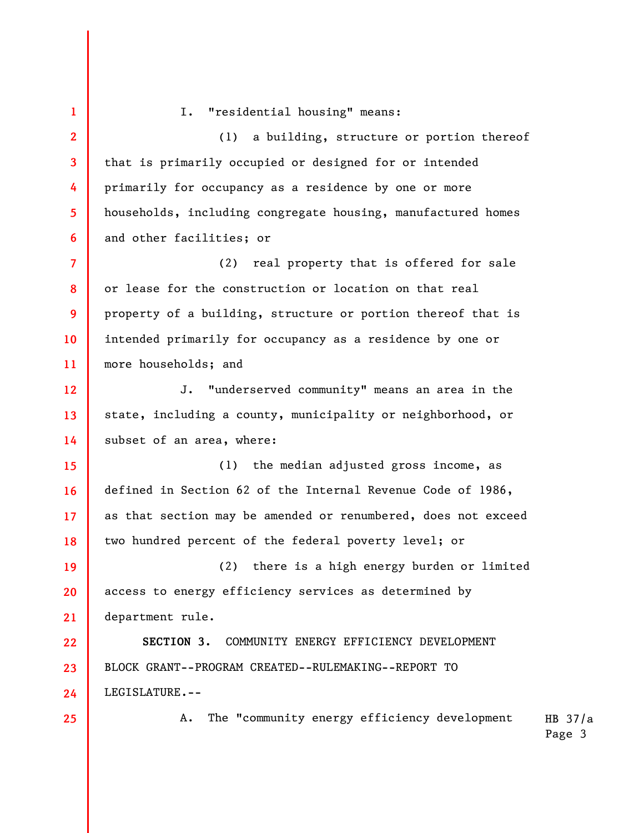HB 37/a 1 2 3 4 5 6 7 8 9 10 11 12 13 14 15 16 17 18 19 20 21 22 23 24 25 I. "residential housing" means: (1) a building, structure or portion thereof that is primarily occupied or designed for or intended primarily for occupancy as a residence by one or more households, including congregate housing, manufactured homes and other facilities; or (2) real property that is offered for sale or lease for the construction or location on that real property of a building, structure or portion thereof that is intended primarily for occupancy as a residence by one or more households; and J. "underserved community" means an area in the state, including a county, municipality or neighborhood, or subset of an area, where: (1) the median adjusted gross income, as defined in Section 62 of the Internal Revenue Code of 1986, as that section may be amended or renumbered, does not exceed two hundred percent of the federal poverty level; or (2) there is a high energy burden or limited access to energy efficiency services as determined by department rule. SECTION 3. COMMUNITY ENERGY EFFICIENCY DEVELOPMENT BLOCK GRANT--PROGRAM CREATED--RULEMAKING--REPORT TO LEGISLATURE.-- A. The "community energy efficiency development

Page 3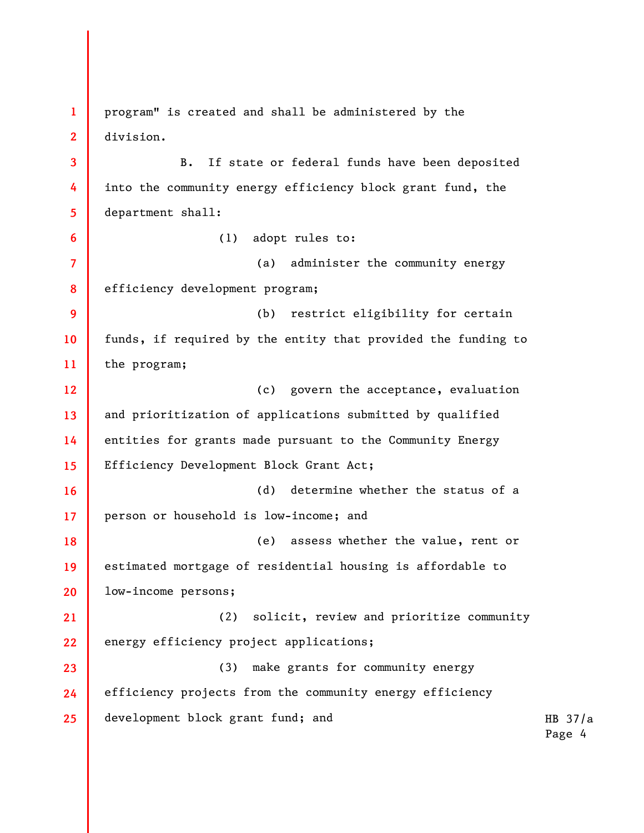1 2 3 4 5 6 7 8 9 10 11 12 13 14 15 16 17 18 19 20 21 22 23 24 25 program" is created and shall be administered by the division. B. If state or federal funds have been deposited into the community energy efficiency block grant fund, the department shall: (1) adopt rules to: (a) administer the community energy efficiency development program; (b) restrict eligibility for certain funds, if required by the entity that provided the funding to the program; (c) govern the acceptance, evaluation and prioritization of applications submitted by qualified entities for grants made pursuant to the Community Energy Efficiency Development Block Grant Act; (d) determine whether the status of a person or household is low-income; and (e) assess whether the value, rent or estimated mortgage of residential housing is affordable to low-income persons; (2) solicit, review and prioritize community energy efficiency project applications; (3) make grants for community energy efficiency projects from the community energy efficiency development block grant fund; and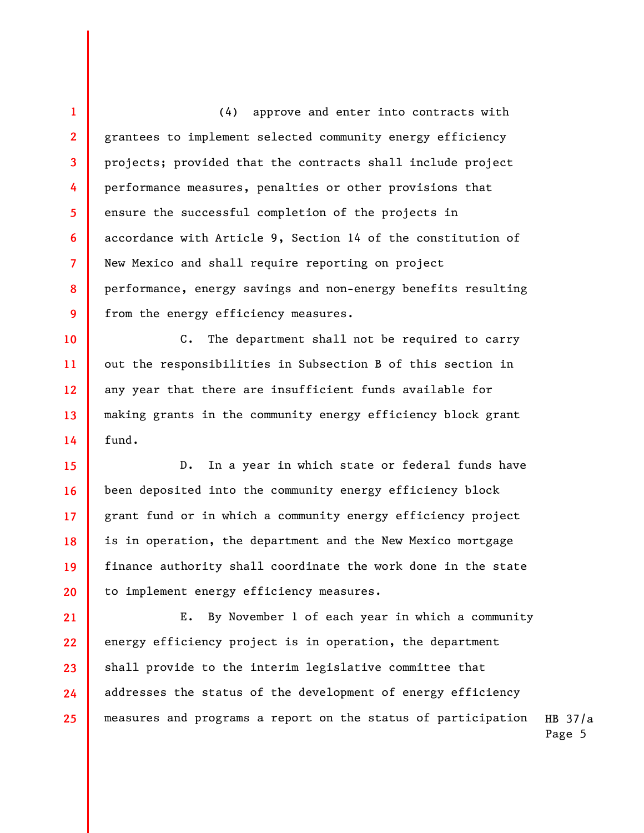1 2 3 4 5 6 7 8 9 (4) approve and enter into contracts with grantees to implement selected community energy efficiency projects; provided that the contracts shall include project performance measures, penalties or other provisions that ensure the successful completion of the projects in accordance with Article 9, Section 14 of the constitution of New Mexico and shall require reporting on project performance, energy savings and non-energy benefits resulting from the energy efficiency measures.

10 11 12 13 14 C. The department shall not be required to carry out the responsibilities in Subsection B of this section in any year that there are insufficient funds available for making grants in the community energy efficiency block grant fund.

15 16 17 18 19 20 D. In a year in which state or federal funds have been deposited into the community energy efficiency block grant fund or in which a community energy efficiency project is in operation, the department and the New Mexico mortgage finance authority shall coordinate the work done in the state to implement energy efficiency measures.

HB 37/a 21 22 23 24 25 E. By November 1 of each year in which a community energy efficiency project is in operation, the department shall provide to the interim legislative committee that addresses the status of the development of energy efficiency measures and programs a report on the status of participation

Page 5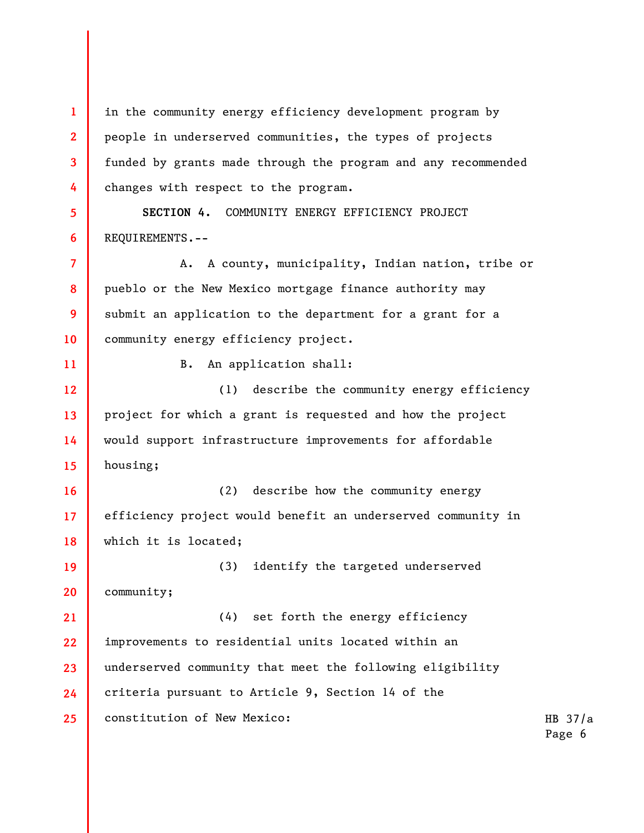1 2 3 4 5 6 7 8 9 10 11 12 13 14 15 16 17 18 19 20 21 22 23 24 25 in the community energy efficiency development program by people in underserved communities, the types of projects funded by grants made through the program and any recommended changes with respect to the program. SECTION 4. COMMUNITY ENERGY EFFICIENCY PROJECT REQUIREMENTS.-- A. A county, municipality, Indian nation, tribe or pueblo or the New Mexico mortgage finance authority may submit an application to the department for a grant for a community energy efficiency project. B. An application shall: (1) describe the community energy efficiency project for which a grant is requested and how the project would support infrastructure improvements for affordable housing; (2) describe how the community energy efficiency project would benefit an underserved community in which it is located; (3) identify the targeted underserved community; (4) set forth the energy efficiency improvements to residential units located within an underserved community that meet the following eligibility criteria pursuant to Article 9, Section 14 of the constitution of New Mexico: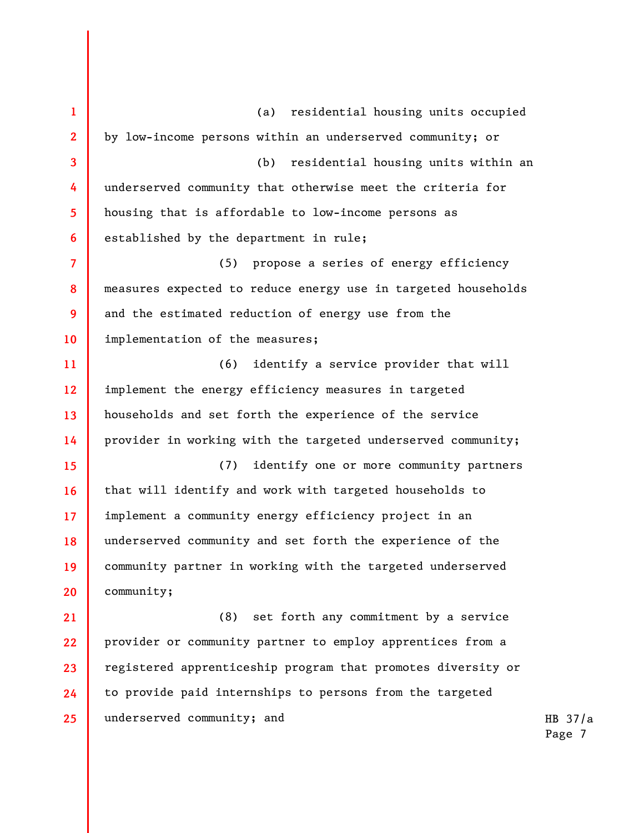HB 37/a 1 2 3 4 5 6 7 8 9 10 11 12 13 14 15 16 17 18 19 20 21 22 23 24 25 (a) residential housing units occupied by low-income persons within an underserved community; or (b) residential housing units within an underserved community that otherwise meet the criteria for housing that is affordable to low-income persons as established by the department in rule; (5) propose a series of energy efficiency measures expected to reduce energy use in targeted households and the estimated reduction of energy use from the implementation of the measures; (6) identify a service provider that will implement the energy efficiency measures in targeted households and set forth the experience of the service provider in working with the targeted underserved community; (7) identify one or more community partners that will identify and work with targeted households to implement a community energy efficiency project in an underserved community and set forth the experience of the community partner in working with the targeted underserved community; (8) set forth any commitment by a service provider or community partner to employ apprentices from a registered apprenticeship program that promotes diversity or to provide paid internships to persons from the targeted underserved community; and

Page 7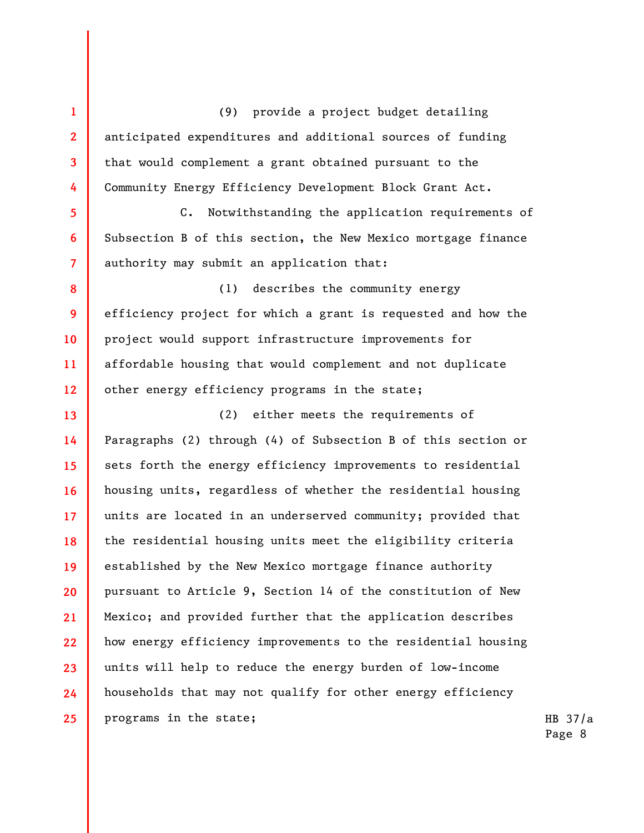(9) provide a project budget detailing anticipated expenditures and additional sources of funding that would complement a grant obtained pursuant to the Community Energy Efficiency Development Block Grant Act.

1

2

3

4

5

6

7

C. Notwithstanding the application requirements of Subsection B of this section, the New Mexico mortgage finance authority may submit an application that:

8 9 10 11 12 (1) describes the community energy efficiency project for which a grant is requested and how the project would support infrastructure improvements for affordable housing that would complement and not duplicate other energy efficiency programs in the state;

13 14 15 16 17 18 19 20 21 22 23 24 25 (2) either meets the requirements of Paragraphs (2) through (4) of Subsection B of this section or sets forth the energy efficiency improvements to residential housing units, regardless of whether the residential housing units are located in an underserved community; provided that the residential housing units meet the eligibility criteria established by the New Mexico mortgage finance authority pursuant to Article 9, Section 14 of the constitution of New Mexico; and provided further that the application describes how energy efficiency improvements to the residential housing units will help to reduce the energy burden of low-income households that may not qualify for other energy efficiency programs in the state;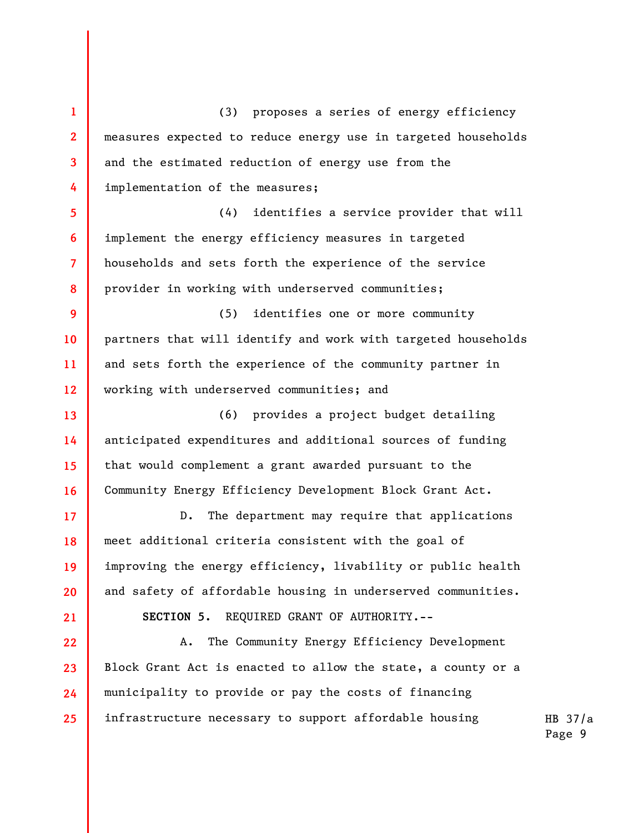1 2 3 4 5 6 7 8 9 10 11 12 13 14 15 16 17 18 19 20 21 22 23 24 25 (3) proposes a series of energy efficiency measures expected to reduce energy use in targeted households and the estimated reduction of energy use from the implementation of the measures; (4) identifies a service provider that will implement the energy efficiency measures in targeted households and sets forth the experience of the service provider in working with underserved communities; (5) identifies one or more community partners that will identify and work with targeted households and sets forth the experience of the community partner in working with underserved communities; and (6) provides a project budget detailing anticipated expenditures and additional sources of funding that would complement a grant awarded pursuant to the Community Energy Efficiency Development Block Grant Act. D. The department may require that applications meet additional criteria consistent with the goal of improving the energy efficiency, livability or public health and safety of affordable housing in underserved communities. SECTION 5. REQUIRED GRANT OF AUTHORITY.-- A. The Community Energy Efficiency Development Block Grant Act is enacted to allow the state, a county or a municipality to provide or pay the costs of financing infrastructure necessary to support affordable housing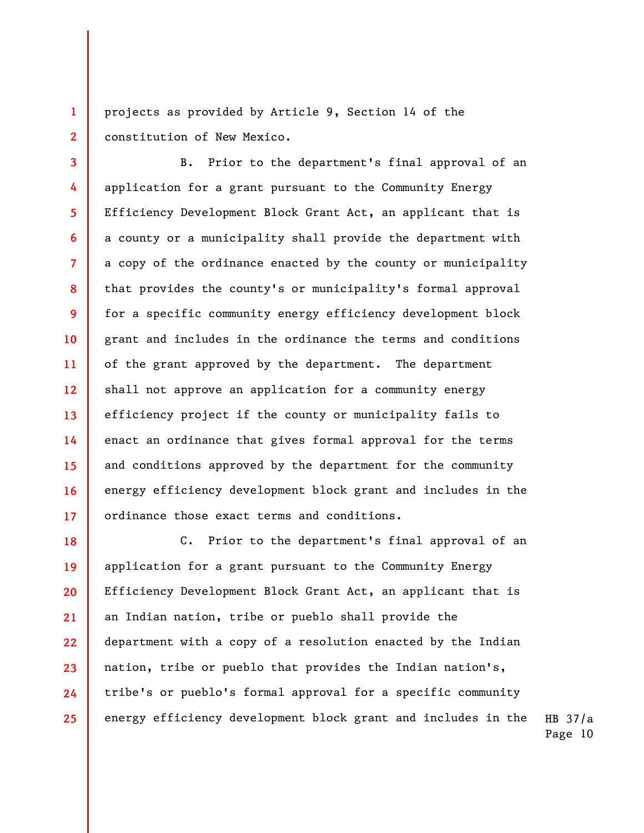projects as provided by Article 9, Section 14 of the constitution of New Mexico.

1

2

3

4

5

6

7

8

9

10

11

12

13

14

15

16

17

B. Prior to the department's final approval of an application for a grant pursuant to the Community Energy Efficiency Development Block Grant Act, an applicant that is a county or a municipality shall provide the department with a copy of the ordinance enacted by the county or municipality that provides the county's or municipality's formal approval for a specific community energy efficiency development block grant and includes in the ordinance the terms and conditions of the grant approved by the department. The department shall not approve an application for a community energy efficiency project if the county or municipality fails to enact an ordinance that gives formal approval for the terms and conditions approved by the department for the community energy efficiency development block grant and includes in the ordinance those exact terms and conditions.

18 19 20 21 22 23 24 25 C. Prior to the department's final approval of an application for a grant pursuant to the Community Energy Efficiency Development Block Grant Act, an applicant that is an Indian nation, tribe or pueblo shall provide the department with a copy of a resolution enacted by the Indian nation, tribe or pueblo that provides the Indian nation's, tribe's or pueblo's formal approval for a specific community energy efficiency development block grant and includes in the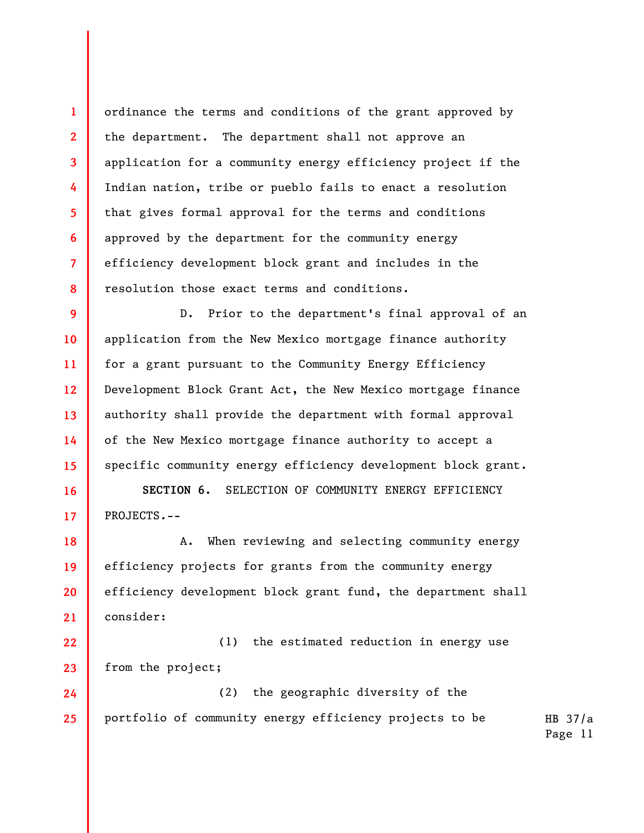ordinance the terms and conditions of the grant approved by the department. The department shall not approve an application for a community energy efficiency project if the Indian nation, tribe or pueblo fails to enact a resolution that gives formal approval for the terms and conditions approved by the department for the community energy efficiency development block grant and includes in the resolution those exact terms and conditions.

1

2

3

4

5

6

7

8

16

17

9 10 11 12 13 14 15 D. Prior to the department's final approval of an application from the New Mexico mortgage finance authority for a grant pursuant to the Community Energy Efficiency Development Block Grant Act, the New Mexico mortgage finance authority shall provide the department with formal approval of the New Mexico mortgage finance authority to accept a specific community energy efficiency development block grant.

SECTION 6. SELECTION OF COMMUNITY ENERGY EFFICIENCY PROJECTS.--

18 19 20 21 A. When reviewing and selecting community energy efficiency projects for grants from the community energy efficiency development block grant fund, the department shall consider:

22 23 (1) the estimated reduction in energy use from the project;

HB 37/a 24 25 (2) the geographic diversity of the portfolio of community energy efficiency projects to be

Page 11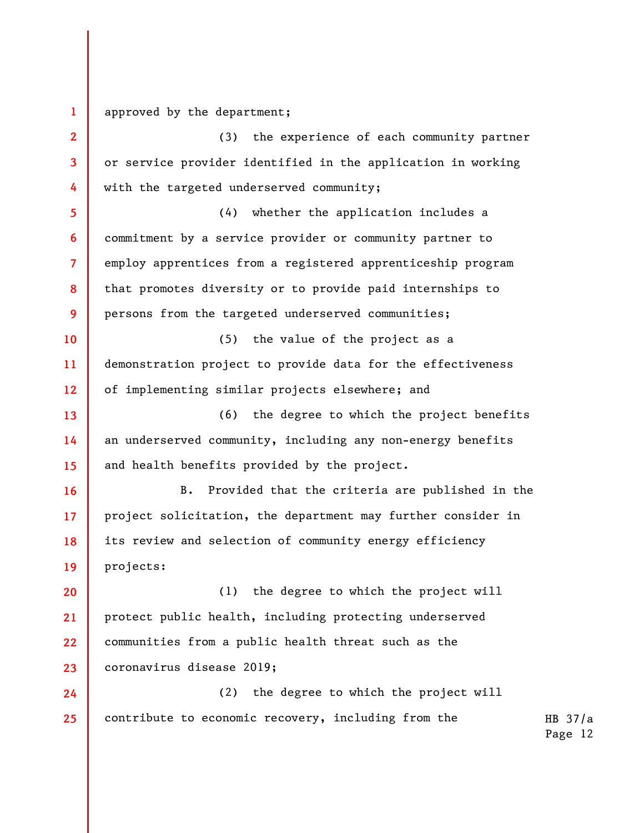1 approved by the department;

2 3 4 5 6 7 (3) the experience of each community partner or service provider identified in the application in working with the targeted underserved community; (4) whether the application includes a commitment by a service provider or community partner to employ apprentices from a registered apprenticeship program

8 9 that promotes diversity or to provide paid internships to persons from the targeted underserved communities;

10 11 12 (5) the value of the project as a demonstration project to provide data for the effectiveness of implementing similar projects elsewhere; and

13 14 15 (6) the degree to which the project benefits an underserved community, including any non-energy benefits and health benefits provided by the project.

16 17 18 19 B. Provided that the criteria are published in the project solicitation, the department may further consider in its review and selection of community energy efficiency projects:

20 21 22 23 (1) the degree to which the project will protect public health, including protecting underserved communities from a public health threat such as the coronavirus disease 2019;

24 25 (2) the degree to which the project will contribute to economic recovery, including from the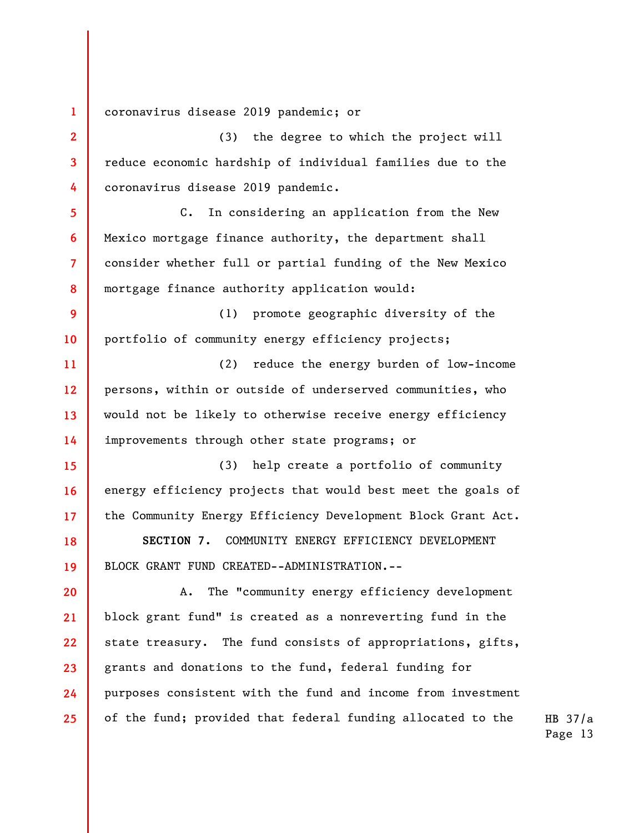1 2 3 4 5 6 7 8 9 10 11 12 13 14 15 16 17 18 19 20 21 22 23 24 25 coronavirus disease 2019 pandemic; or (3) the degree to which the project will reduce economic hardship of individual families due to the coronavirus disease 2019 pandemic. C. In considering an application from the New Mexico mortgage finance authority, the department shall consider whether full or partial funding of the New Mexico mortgage finance authority application would: (1) promote geographic diversity of the portfolio of community energy efficiency projects; (2) reduce the energy burden of low-income persons, within or outside of underserved communities, who would not be likely to otherwise receive energy efficiency improvements through other state programs; or (3) help create a portfolio of community energy efficiency projects that would best meet the goals of the Community Energy Efficiency Development Block Grant Act. SECTION 7. COMMUNITY ENERGY EFFICIENCY DEVELOPMENT BLOCK GRANT FUND CREATED--ADMINISTRATION.-- A. The "community energy efficiency development block grant fund" is created as a nonreverting fund in the state treasury. The fund consists of appropriations, gifts, grants and donations to the fund, federal funding for purposes consistent with the fund and income from investment of the fund; provided that federal funding allocated to the